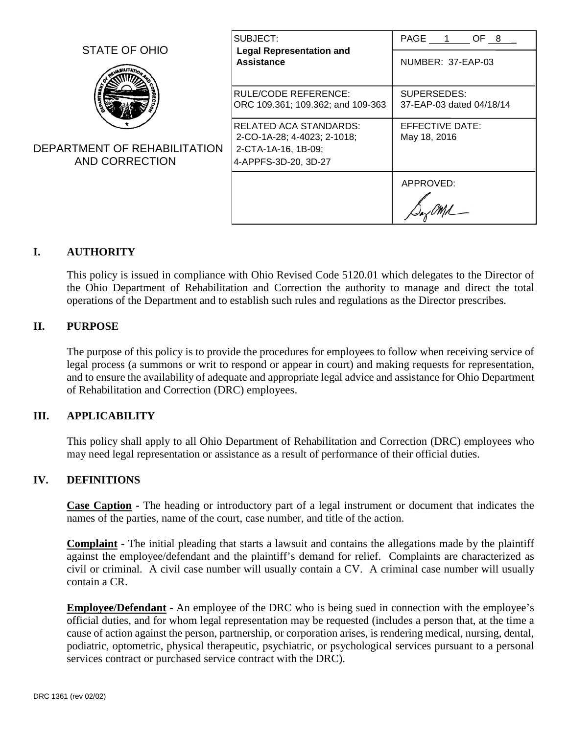|                                                                 | SUBJECT:<br><b>Legal Representation and</b><br>Assistance                                             | PAGE 1 OF 8                             |  |  |
|-----------------------------------------------------------------|-------------------------------------------------------------------------------------------------------|-----------------------------------------|--|--|
| STATE OF OHIO<br>DEPARTMENT OF REHABILITATION<br>AND CORRECTION |                                                                                                       | NUMBER: 37-EAP-03                       |  |  |
|                                                                 | IRULE/CODE REFERENCE:<br>ORC 109.361; 109.362; and 109-363                                            | SUPERSEDES:<br>37-EAP-03 dated 04/18/14 |  |  |
|                                                                 | IRELATED ACA STANDARDS:<br>2-CO-1A-28; 4-4023; 2-1018;<br>2-CTA-1A-16, 1B-09;<br>4-APPFS-3D-20, 3D-27 | EFFECTIVE DATE:<br>May 18, 2016         |  |  |
|                                                                 |                                                                                                       | APPROVED:                               |  |  |

# **I. AUTHORITY**

This policy is issued in compliance with Ohio Revised Code 5120.01 which delegates to the Director of the Ohio Department of Rehabilitation and Correction the authority to manage and direct the total operations of the Department and to establish such rules and regulations as the Director prescribes.

#### **II. PURPOSE**

The purpose of this policy is to provide the procedures for employees to follow when receiving service of legal process (a summons or writ to respond or appear in court) and making requests for representation, and to ensure the availability of adequate and appropriate legal advice and assistance for Ohio Department of Rehabilitation and Correction (DRC) employees.

#### **III. APPLICABILITY**

This policy shall apply to all Ohio Department of Rehabilitation and Correction (DRC) employees who may need legal representation or assistance as a result of performance of their official duties.

## **IV. DEFINITIONS**

**Case Caption -** The heading or introductory part of a legal instrument or document that indicates the names of the parties, name of the court, case number, and title of the action.

**Complaint -** The initial pleading that starts a lawsuit and contains the allegations made by the plaintiff against the employee/defendant and the plaintiff's demand for relief. Complaints are characterized as civil or criminal. A civil case number will usually contain a CV. A criminal case number will usually contain a CR.

**Employee/Defendant -** An employee of the DRC who is being sued in connection with the employee's official duties, and for whom legal representation may be requested (includes a person that, at the time a cause of action against the person, partnership, or corporation arises, is rendering medical, nursing, dental, podiatric, optometric, physical therapeutic, psychiatric, or psychological services pursuant to a personal services contract or purchased service contract with the DRC).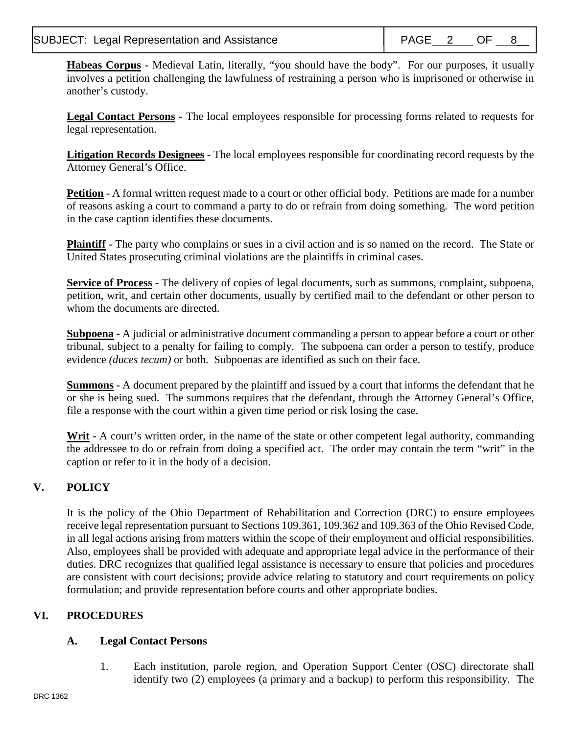# SUBJECT: Legal Representation and Assistance  $\begin{array}{|c|c|c|c|c|c|}\n\hline\n\end{array}$  PAGE 2 OF 8

<sup>-</sup>

**Habeas Corpus -** Medieval Latin, literally, "you should have the body". For our purposes, it usually involves a petition challenging the lawfulness of restraining a person who is imprisoned or otherwise in another's custody.

**Legal Contact Persons -** The local employees responsible for processing forms related to requests for legal representation.

**Litigation Records Designees -** The local employees responsible for coordinating record requests by the Attorney General's Office.

**Petition -** A formal written request made to a court or other official body. Petitions are made for a number of reasons asking a court to command a party to do or refrain from doing something. The word petition in the case caption identifies these documents.

**Plaintiff -** The party who complains or sues in a civil action and is so named on the record. The State or United States prosecuting criminal violations are the plaintiffs in criminal cases*.* 

**Service of Process -** The delivery of copies of legal documents, such as summons, complaint, subpoena, petition, writ, and certain other documents, usually by certified mail to the defendant or other person to whom the documents are directed.

**Subpoena -** A judicial or administrative document commanding a person to appear before a court or other tribunal, subject to a penalty for failing to comply. The subpoena can order a person to testify, produce evidence *(duces tecum)* or both. Subpoenas are identified as such on their face.

**Summons -** A document prepared by the plaintiff and issued by a court that informs the defendant that he or she is being sued. The summons requires that the defendant, through the Attorney General's Office, file a response with the court within a given time period or risk losing the case.

Writ **-** A court's written order, in the name of the state or other competent legal authority, commanding the addressee to do or refrain from doing a specified act. The order may contain the term "writ" in the caption or refer to it in the body of a decision.

# **V. POLICY**

It is the policy of the Ohio Department of Rehabilitation and Correction (DRC) to ensure employees receive legal representation pursuant to Sections 109.361, 109.362 and 109.363 of the Ohio Revised Code, in all legal actions arising from matters within the scope of their employment and official responsibilities. Also, employees shall be provided with adequate and appropriate legal advice in the performance of their duties. DRC recognizes that qualified legal assistance is necessary to ensure that policies and procedures are consistent with court decisions; provide advice relating to statutory and court requirements on policy formulation; and provide representation before courts and other appropriate bodies.

# **VI. PROCEDURES**

# **A. Legal Contact Persons**

1. Each institution, parole region, and Operation Support Center (OSC) directorate shall identify two (2) employees (a primary and a backup) to perform this responsibility. The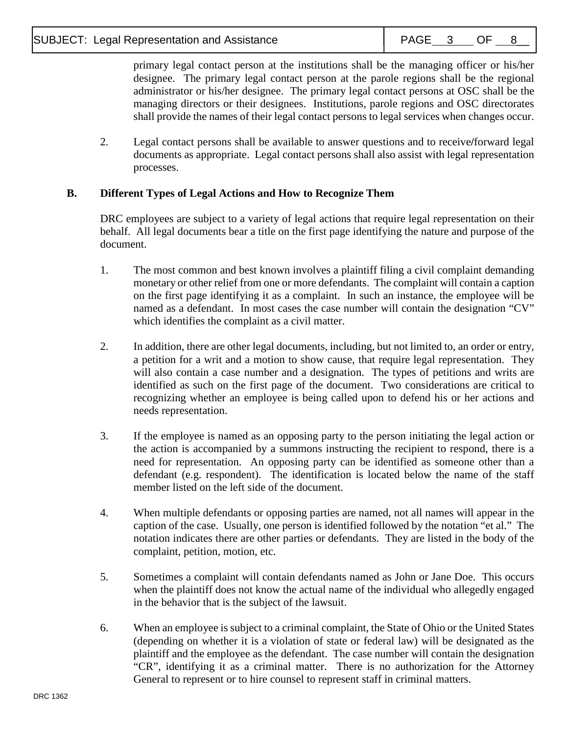<sup>-</sup>

primary legal contact person at the institutions shall be the managing officer or his/her designee. The primary legal contact person at the parole regions shall be the regional administrator or his/her designee. The primary legal contact persons at OSC shall be the managing directors or their designees. Institutions, parole regions and OSC directorates shall provide the names of their legal contact persons to legal services when changes occur.

2. Legal contact persons shall be available to answer questions and to receive**/**forward legal documents as appropriate. Legal contact persons shall also assist with legal representation processes.

# **B. Different Types of Legal Actions and How to Recognize Them**

DRC employees are subject to a variety of legal actions that require legal representation on their behalf. All legal documents bear a title on the first page identifying the nature and purpose of the document.

- 1. The most common and best known involves a plaintiff filing a civil complaint demanding monetary or other relief from one or more defendants. The complaint will contain a caption on the first page identifying it as a complaint. In such an instance, the employee will be named as a defendant. In most cases the case number will contain the designation "CV" which identifies the complaint as a civil matter.
- 2. In addition, there are other legal documents, including, but not limited to, an order or entry, a petition for a writ and a motion to show cause, that require legal representation. They will also contain a case number and a designation. The types of petitions and writs are identified as such on the first page of the document. Two considerations are critical to recognizing whether an employee is being called upon to defend his or her actions and needs representation.
- 3. If the employee is named as an opposing party to the person initiating the legal action or the action is accompanied by a summons instructing the recipient to respond, there is a need for representation. An opposing party can be identified as someone other than a defendant (e.g. respondent). The identification is located below the name of the staff member listed on the left side of the document.
- 4. When multiple defendants or opposing parties are named, not all names will appear in the caption of the case. Usually, one person is identified followed by the notation "et al." The notation indicates there are other parties or defendants. They are listed in the body of the complaint, petition, motion, etc.
- 5. Sometimes a complaint will contain defendants named as John or Jane Doe. This occurs when the plaintiff does not know the actual name of the individual who allegedly engaged in the behavior that is the subject of the lawsuit.
- 6. When an employee is subject to a criminal complaint, the State of Ohio or the United States (depending on whether it is a violation of state or federal law) will be designated as the plaintiff and the employee as the defendant. The case number will contain the designation "CR", identifying it as a criminal matter. There is no authorization for the Attorney General to represent or to hire counsel to represent staff in criminal matters.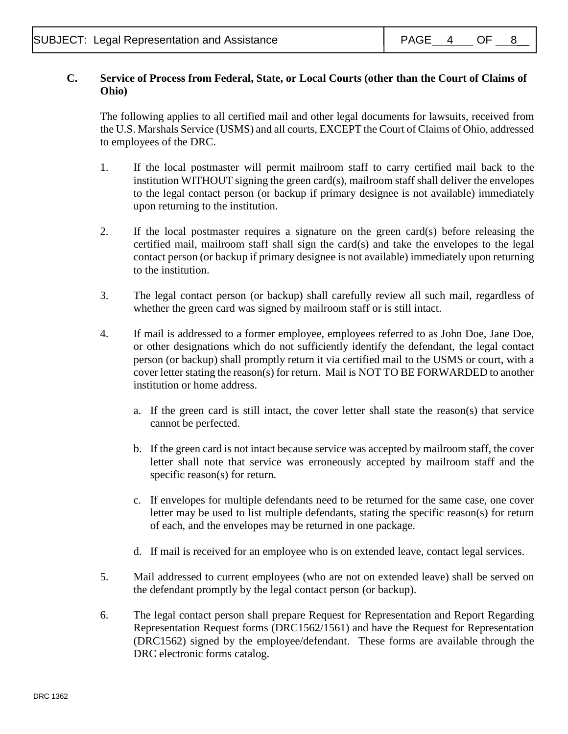<sup>-</sup>

## **C. Service of Process from Federal, State, or Local Courts (other than the Court of Claims of Ohio)**

The following applies to all certified mail and other legal documents for lawsuits, received from the U.S. Marshals Service (USMS) and all courts, EXCEPT the Court of Claims of Ohio, addressed to employees of the DRC.

- 1. If the local postmaster will permit mailroom staff to carry certified mail back to the institution WITHOUT signing the green card(s), mailroom staff shall deliver the envelopes to the legal contact person (or backup if primary designee is not available) immediately upon returning to the institution.
- 2. If the local postmaster requires a signature on the green card(s) before releasing the certified mail, mailroom staff shall sign the card(s) and take the envelopes to the legal contact person (or backup if primary designee is not available) immediately upon returning to the institution.
- 3. The legal contact person (or backup) shall carefully review all such mail, regardless of whether the green card was signed by mailroom staff or is still intact.
- 4. If mail is addressed to a former employee, employees referred to as John Doe, Jane Doe, or other designations which do not sufficiently identify the defendant, the legal contact person (or backup) shall promptly return it via certified mail to the USMS or court, with a cover letter stating the reason(s) for return. Mail is NOT TO BE FORWARDED to another institution or home address.
	- a. If the green card is still intact, the cover letter shall state the reason(s) that service cannot be perfected.
	- b. If the green card is not intact because service was accepted by mailroom staff, the cover letter shall note that service was erroneously accepted by mailroom staff and the specific reason(s) for return.
	- c. If envelopes for multiple defendants need to be returned for the same case, one cover letter may be used to list multiple defendants, stating the specific reason(s) for return of each, and the envelopes may be returned in one package.
	- d. If mail is received for an employee who is on extended leave, contact legal services.
- 5. Mail addressed to current employees (who are not on extended leave) shall be served on the defendant promptly by the legal contact person (or backup).
- 6. The legal contact person shall prepare Request for Representation and Report Regarding Representation Request forms (DRC1562/1561) and have the Request for Representation (DRC1562) signed by the employee/defendant. These forms are available through the DRC electronic forms catalog.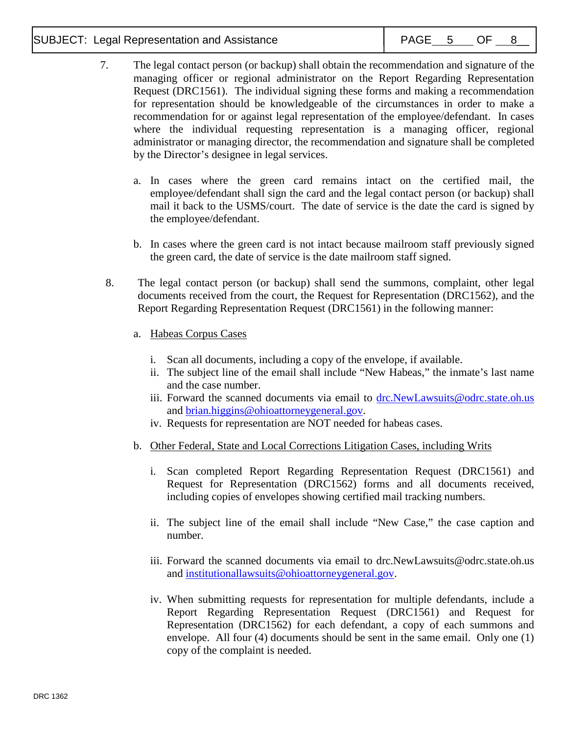## SUBJECT: Legal Representation and Assistance  $\begin{array}{|c|c|c|c|c|}\n\hline\n\end{array}$  PAGE 5 OF 8\_

<sup>-</sup>

- 7. The legal contact person (or backup) shall obtain the recommendation and signature of the managing officer or regional administrator on the Report Regarding Representation Request (DRC1561). The individual signing these forms and making a recommendation for representation should be knowledgeable of the circumstances in order to make a recommendation for or against legal representation of the employee/defendant. In cases where the individual requesting representation is a managing officer, regional administrator or managing director, the recommendation and signature shall be completed by the Director's designee in legal services.
	- a. In cases where the green card remains intact on the certified mail, the employee/defendant shall sign the card and the legal contact person (or backup) shall mail it back to the USMS/court. The date of service is the date the card is signed by the employee/defendant.
	- b. In cases where the green card is not intact because mailroom staff previously signed the green card, the date of service is the date mailroom staff signed.
- 8. The legal contact person (or backup) shall send the summons, complaint, other legal documents received from the court, the Request for Representation (DRC1562), and the Report Regarding Representation Request (DRC1561) in the following manner:
	- a. Habeas Corpus Cases
		- i. Scan all documents, including a copy of the envelope, if available.
		- ii. The subject line of the email shall include "New Habeas," the inmate's last name and the case number.
		- iii. Forward the scanned documents via email to [drc.NewLawsuits@odrc.state.oh.us](mailto:drc.NewLawsuits@odrc.state.oh.us) and [brian.higgins@ohioattorneygeneral.gov.](mailto:brian.higgins@ohioattorneygeneral.gov)
		- iv. Requests for representation are NOT needed for habeas cases.
	- b. Other Federal, State and Local Corrections Litigation Cases, including Writs
		- i. Scan completed Report Regarding Representation Request (DRC1561) and Request for Representation (DRC1562) forms and all documents received, including copies of envelopes showing certified mail tracking numbers.
		- ii. The subject line of the email shall include "New Case," the case caption and number.
		- iii. Forward the scanned documents via email to [drc.NewLawsuits@odrc.state.oh.us](mailto:drc.NewLawsuits@odrc.state.oh.us) and [institutionallawsuits@ohioattorneygeneral.gov.](mailto:institutionallawsuits@ohioattorneygeneral.gov)
		- iv. When submitting requests for representation for multiple defendants, include a Report Regarding Representation Request (DRC1561) and Request for Representation (DRC1562) for each defendant, a copy of each summons and envelope. All four (4) documents should be sent in the same email. Only one (1) copy of the complaint is needed.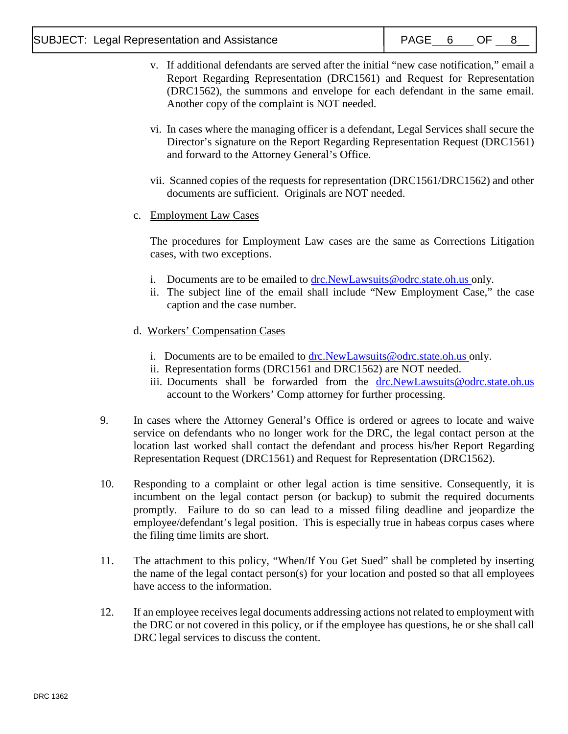<sup>-</sup>

- v. If additional defendants are served after the initial "new case notification," email a Report Regarding Representation (DRC1561) and Request for Representation (DRC1562), the summons and envelope for each defendant in the same email. Another copy of the complaint is NOT needed.
- vi. In cases where the managing officer is a defendant, Legal Services shall secure the Director's signature on the Report Regarding Representation Request (DRC1561) and forward to the Attorney General's Office.
- vii. Scanned copies of the requests for representation (DRC1561/DRC1562) and other documents are sufficient. Originals are NOT needed.
- c. Employment Law Cases

The procedures for Employment Law cases are the same as Corrections Litigation cases, with two exceptions.

- i. Documents are to be emailed to [drc.NewLawsuits@odrc.state.oh.us](mailto:drc.NewLawsuits@odrc.state.oh.us) only.
- ii. The subject line of the email shall include "New Employment Case," the case caption and the case number.
- d. Workers' Compensation Cases
	- i. Documents are to be emailed to [drc.NewLawsuits@odrc.state.oh.us](mailto:drc.NewLawsuits@odrc.state.oh.us) only.
	- ii. Representation forms (DRC1561 and DRC1562) are NOT needed.
	- iii. Documents shall be forwarded from the [drc.NewLawsuits@odrc.state.oh.us](mailto:drc.NewLawsuits@odrc.state.oh.us) account to the Workers' Comp attorney for further processing.
- 9. In cases where the Attorney General's Office is ordered or agrees to locate and waive service on defendants who no longer work for the DRC, the legal contact person at the location last worked shall contact the defendant and process his/her Report Regarding Representation Request (DRC1561) and Request for Representation (DRC1562).
- 10. Responding to a complaint or other legal action is time sensitive. Consequently, it is incumbent on the legal contact person (or backup) to submit the required documents promptly. Failure to do so can lead to a missed filing deadline and jeopardize the employee/defendant's legal position. This is especially true in habeas corpus cases where the filing time limits are short.
- 11. The attachment to this policy, "When/If You Get Sued" shall be completed by inserting the name of the legal contact person(s) for your location and posted so that all employees have access to the information.
- 12. If an employee receives legal documents addressing actions not related to employment with the DRC or not covered in this policy, or if the employee has questions, he or she shall call DRC legal services to discuss the content.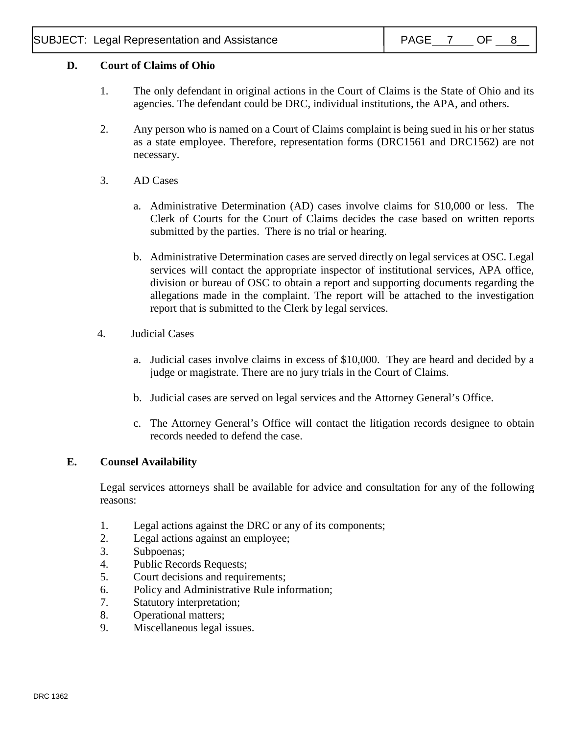# **D. Court of Claims of Ohio**

<sup>-</sup>

- 1. The only defendant in original actions in the Court of Claims is the State of Ohio and its agencies. The defendant could be DRC, individual institutions, the APA, and others.
- 2. Any person who is named on a Court of Claims complaint is being sued in his or her status as a state employee. Therefore, representation forms (DRC1561 and DRC1562) are not necessary.
- 3. AD Cases
	- a. Administrative Determination (AD) cases involve claims for \$10,000 or less. The Clerk of Courts for the Court of Claims decides the case based on written reports submitted by the parties. There is no trial or hearing.
	- b. Administrative Determination cases are served directly on legal services at OSC. Legal services will contact the appropriate inspector of institutional services, APA office, division or bureau of OSC to obtain a report and supporting documents regarding the allegations made in the complaint. The report will be attached to the investigation report that is submitted to the Clerk by legal services.
- 4. Judicial Cases
	- a. Judicial cases involve claims in excess of \$10,000. They are heard and decided by a judge or magistrate. There are no jury trials in the Court of Claims.
	- b. Judicial cases are served on legal services and the Attorney General's Office.
	- c. The Attorney General's Office will contact the litigation records designee to obtain records needed to defend the case.

# **E. Counsel Availability**

Legal services attorneys shall be available for advice and consultation for any of the following reasons:

- 1. Legal actions against the DRC or any of its components;
- 2. Legal actions against an employee;
- 3. Subpoenas;
- 4. Public Records Requests;
- 5. Court decisions and requirements;
- 6. Policy and Administrative Rule information;
- 7. Statutory interpretation;
- 8. Operational matters;
- 9. Miscellaneous legal issues.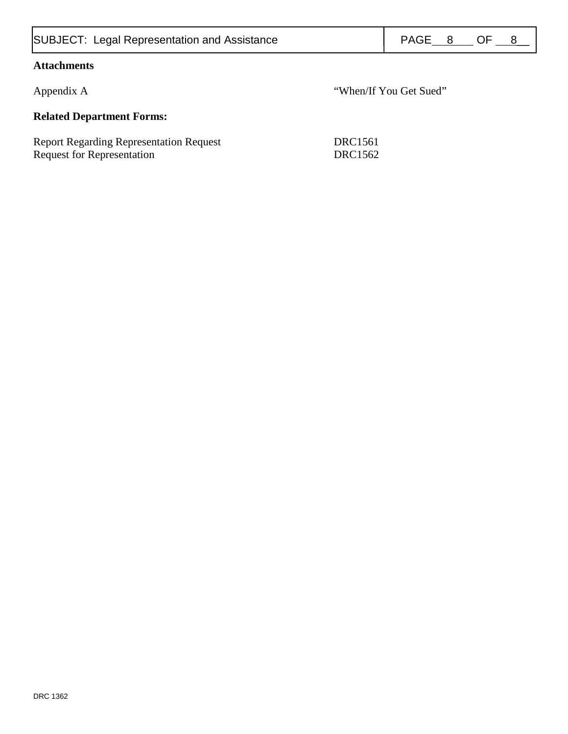| <b>SUBJECT: Legal Representation and Assistance</b>                                 |                           | PAGE 8                 |  | OF O | 8 |  |
|-------------------------------------------------------------------------------------|---------------------------|------------------------|--|------|---|--|
| <b>Attachments</b>                                                                  |                           |                        |  |      |   |  |
| Appendix A                                                                          |                           | "When/If You Get Sued" |  |      |   |  |
| <b>Related Department Forms:</b>                                                    |                           |                        |  |      |   |  |
| <b>Report Regarding Representation Request</b><br><b>Request for Representation</b> | DRC1561<br><b>DRC1562</b> |                        |  |      |   |  |